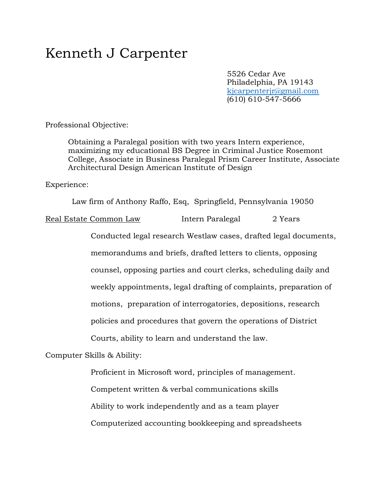## Kenneth J Carpenter

5526 Cedar Ave Philadelphia, PA 19143 [kjcarpenterjr@gmail.com](mailto:kjcarpenterjr@gmail.com) (610) 610-547-5666

Professional Objective:

Obtaining a Paralegal position with two years Intern experience, maximizing my educational BS Degree in Criminal Justice Rosemont College, Associate in Business Paralegal Prism Career Institute, Associate Architectural Design American Institute of Design

Experience:

Law firm of Anthony Raffo, Esq, Springfield, Pennsylvania 19050

Real Estate Common Law Intern Paralegal 2 Years

Conducted legal research Westlaw cases, drafted legal documents, memorandums and briefs, drafted letters to clients, opposing counsel, opposing parties and court clerks, scheduling daily and weekly appointments, legal drafting of complaints, preparation of motions, preparation of interrogatories, depositions, research policies and procedures that govern the operations of District Courts, ability to learn and understand the law.

Computer Skills & Ability:

Proficient in Microsoft word, principles of management. Competent written & verbal communications skills Ability to work independently and as a team player Computerized accounting bookkeeping and spreadsheets